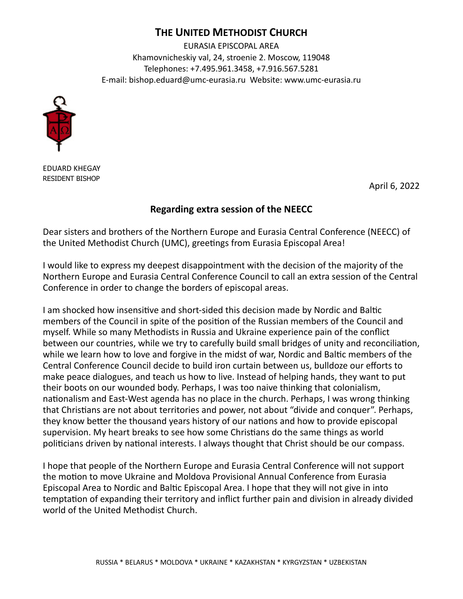## **THE UNITED METHODIST CHURCH**

EURASIA EPISCOPAL AREA Khamovnicheskiy val, 24, stroenie 2. Moscow, 119048 Telephones: +7.495.961.3458, +7.916.567.5281 E-mail: [bishop.eduard@umc-eurasia.ru](mailto:bishop.eduard@umc-eurasia.ru) Website: www.umc-eurasia.ru



EDUARD KHEGAY RESIDENT BISHOP

April 6, 2022

## **Regarding extra session of the NEECC**

Dear sisters and brothers of the Northern Europe and Eurasia Central Conference (NEECC) of the United Methodist Church (UMC), greetings from Eurasia Episcopal Area!

I would like to express my deepest disappointment with the decision of the majority of the Northern Europe and Eurasia Central Conference Council to call an extra session of the Central Conference in order to change the borders of episcopal areas.

I am shocked how insensitive and short-sided this decision made by Nordic and Baltic members of the Council in spite of the position of the Russian members of the Council and myself. While so many Methodists in Russia and Ukraine experience pain of the conflict between our countries, while we try to carefully build small bridges of unity and reconciliation, while we learn how to love and forgive in the midst of war, Nordic and Baltic members of the Central Conference Council decide to build iron curtain between us, bulldoze our efforts to make peace dialogues, and teach us how to live. Instead of helping hands, they want to put their boots on our wounded body. Perhaps, I was too naive thinking that colonialism, nationalism and East-West agenda has no place in the church. Perhaps, I was wrong thinking that Christians are not about territories and power, not about "divide and conquer". Perhaps, they know better the thousand years history of our nations and how to provide episcopal supervision. My heart breaks to see how some Christians do the same things as world politicians driven by national interests. I always thought that Christ should be our compass.

I hope that people of the Northern Europe and Eurasia Central Conference will not support the motion to move Ukraine and Moldova Provisional Annual Conference from Eurasia Episcopal Area to Nordic and Baltic Episcopal Area. I hope that they will not give in into temptation of expanding their territory and inflict further pain and division in already divided world of the United Methodist Church.